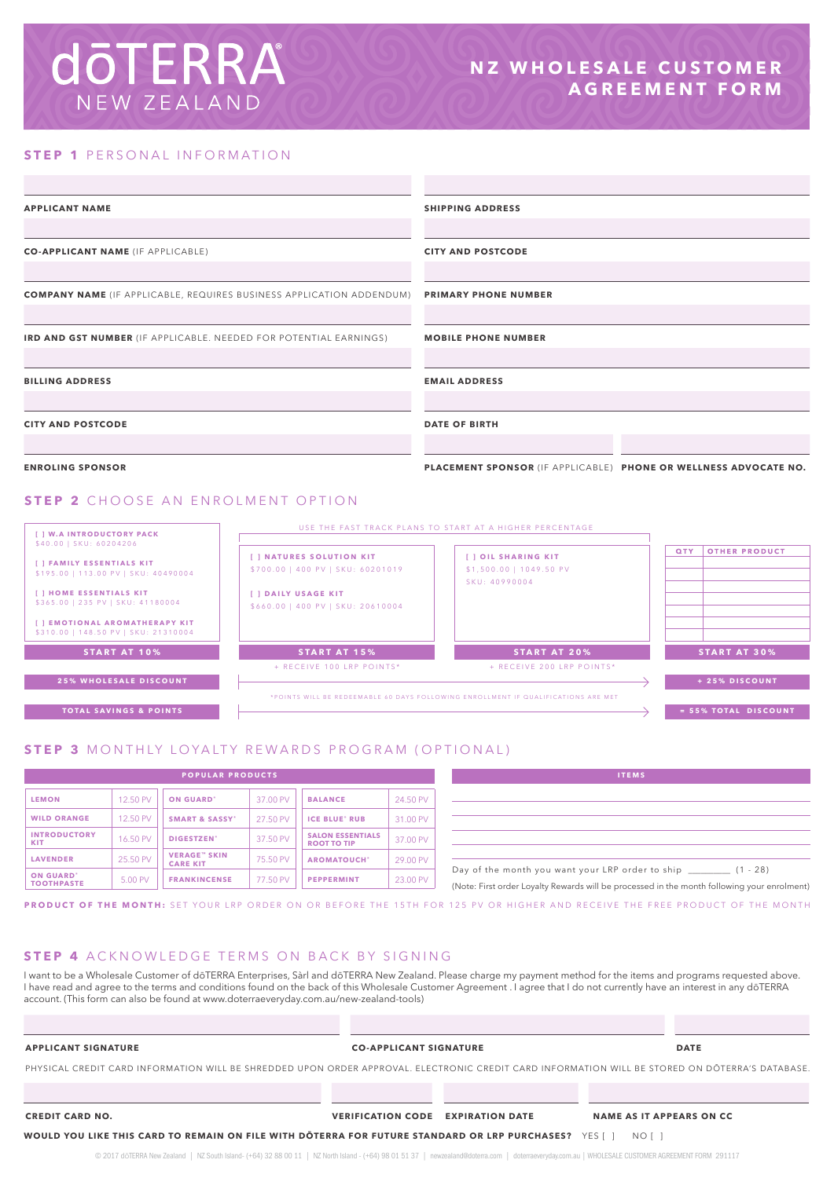# **doTERRA** NEW ZEALAND

### **STEP 1 PERSONAL INFORMATION**

| <b>APPLICANT NAME</b>                                                       | <b>SHIPPING ADDRESS</b>                                          |  |  |  |
|-----------------------------------------------------------------------------|------------------------------------------------------------------|--|--|--|
|                                                                             |                                                                  |  |  |  |
| <b>CO-APPLICANT NAME (IF APPLICABLE)</b>                                    | <b>CITY AND POSTCODE</b>                                         |  |  |  |
|                                                                             |                                                                  |  |  |  |
| <b>COMPANY NAME</b> (IF APPLICABLE, REQUIRES BUSINESS APPLICATION ADDENDUM) | <b>PRIMARY PHONE NUMBER</b>                                      |  |  |  |
|                                                                             |                                                                  |  |  |  |
| <b>IRD AND GST NUMBER (IF APPLICABLE. NEEDED FOR POTENTIAL EARNINGS)</b>    | <b>MOBILE PHONE NUMBER</b>                                       |  |  |  |
|                                                                             |                                                                  |  |  |  |
| <b>BILLING ADDRESS</b>                                                      | <b>EMAIL ADDRESS</b>                                             |  |  |  |
|                                                                             |                                                                  |  |  |  |
| <b>CITY AND POSTCODE</b>                                                    | <b>DATE OF BIRTH</b>                                             |  |  |  |
|                                                                             |                                                                  |  |  |  |
| <b>ENROLING SPONSOR</b>                                                     | PLACEMENT SPONSOR (IF APPLICABLE) PHONE OR WELLNESS ADVOCATE NO. |  |  |  |
| <b>STEP 2</b> CHOOSE AN ENROLMENT OPTION                                    |                                                                  |  |  |  |
| [ ] W.A INTRODUCTORY PACK                                                   | USE THE FAST TRACK PLANS TO START AT A HIGHER PERCENTAGE         |  |  |  |
| \$40.00   SKU: 60204206                                                     | <b>QTY   OTHER PRODUCT</b>                                       |  |  |  |

| 540.00   SNU: 00Z04Z00<br><b>I 1 FAMILY ESSENTIALS KIT</b><br>\$195.00   113.00 PV   SKU: 40490004<br>[ ] HOME ESSENTIALS KIT<br>\$365.00   235 PV   SKU: 41180004<br>[ ] EMOTIONAL AROMATHERAPY KIT<br>\$310.00   148.50 PV   SKU: 21310004 | [ ] NATURES SOLUTION KIT<br>\$700.00   400 PV   SKU: 60201019<br>[ ] DAILY USAGE KIT<br>\$660.00   400 PV   SKU: 20610004 | [ ] OIL SHARING KIT<br>\$1,500.00   1049.50 PV<br>SKU: 40990004                   | <b>OTHER PRODUCT</b><br>QTY |
|----------------------------------------------------------------------------------------------------------------------------------------------------------------------------------------------------------------------------------------------|---------------------------------------------------------------------------------------------------------------------------|-----------------------------------------------------------------------------------|-----------------------------|
| <b>START AT 10%</b>                                                                                                                                                                                                                          | <b>START AT 15%</b>                                                                                                       | <b>START AT 20%</b>                                                               | <b>START AT 30%</b>         |
|                                                                                                                                                                                                                                              | + RECEIVE 100 LRP POINTS*                                                                                                 | + RECEIVE 200 LRP POINTS*                                                         |                             |
| <b>25% WHOLESALE DISCOUNT</b>                                                                                                                                                                                                                |                                                                                                                           |                                                                                   | + 25% DISCOUNT              |
|                                                                                                                                                                                                                                              |                                                                                                                           | *POINTS WILL BE REDEEMABLE 60 DAYS FOLLOWING ENROLLMENT IF QUALIFICATIONS ARE MET |                             |
| <b>TOTAL SAVINGS &amp; POINTS</b>                                                                                                                                                                                                            |                                                                                                                           |                                                                                   | = 55% TOTAL DISCOUNT        |
|                                                                                                                                                                                                                                              |                                                                                                                           |                                                                                   |                             |

### **STEP 3** MONTHLY LOYALTY REWARDS PROGRAM (OPTIONAL)

| <b>POPULAR PRODUCTS</b>               |          |                                         | <b>ITEMS</b> |                                               |          |                                                                                               |
|---------------------------------------|----------|-----------------------------------------|--------------|-----------------------------------------------|----------|-----------------------------------------------------------------------------------------------|
| <b>LEMON</b>                          | 12.50 PV | <b>ON GUARD'</b>                        | 37.00 PV     | <b>BALANCE</b>                                | 24.50 PV |                                                                                               |
| <b>WILD ORANGE</b>                    | 12.50 PV | <b>SMART &amp; SASSY*</b>               | 27.50 PV     | <b>ICE BLUE' RUB</b>                          | 31.00 PV |                                                                                               |
| <b>INTRODUCTORY</b><br><b>KIT</b>     | 16.50 PV | DIGESTZEN'                              | 37.50 PV     | <b>SALON ESSENTIALS</b><br><b>ROOT TO TIP</b> | 37.00 PV |                                                                                               |
| <b>LAVENDER</b>                       | 25.50 PV | <b>VERAGE</b> " SKIN<br><b>CARE KIT</b> | 75.50 PV     | <b>AROMATOUCH'</b>                            | 29.00 PV |                                                                                               |
| <b>ON GUARD'</b><br><b>TOOTHPASTE</b> | 5.00 PV  | <b>FRANKINCENSE</b>                     | 77.50 PV     | <b>PEPPERMINT</b>                             | 23.00 PV | Day of the month you want your LRP orde<br>(Note: First order Lovalty Rewards will be process |

| <b>ITEMS</b>                                                                                |  |
|---------------------------------------------------------------------------------------------|--|
|                                                                                             |  |
|                                                                                             |  |
|                                                                                             |  |
|                                                                                             |  |
| Day of the month you want your LRP order to ship (1 - 28)                                   |  |
| (Note: First order Loyalty Rewards will be processed in the month following your enrolment) |  |

**PRODUCT OF THE MONTH:** SET YOUR LRP ORDER ON OR BEFORE THE 15TH FOR 125 PV OR HIGHER AND RECEIVE THE FREE PRODUCT OF THE MONTH

### **STEP 4** ACKNOWLEDGE TERMS ON BACK BY SIGNING

I want to be a Wholesale Customer of dōTERRA Enterprises, Sàrl and dōTERRA New Zealand. Please charge my payment method for the items and programs requested above. I have read and agree to the terms and conditions found on the back of this Wholesale Customer Agreement . I agree that I do not currently have an interest in any dōTERRA account. (This form can also be found at www.doterraeveryday.com.au/new-zealand-tools)

### **APPLICANT SIGNATURE CO-APPLICANT SIGNATURE DATE**

PHYSICAL CREDIT CARD INFORMATION WILL BE SHREDDED UPON ORDER APPROVAL. ELECTRONIC CREDIT CARD INFORMATION WILL BE STORED ON DŌTERRA'S DATABASE.

**CREDIT CARD NO. VERIFICATION CODE EXPIRATION DATE NAME AS IT APPEARS ON CC**

**WOULD YOU LIKE THIS CARD TO REMAIN ON FILE WITH DŌTERRA FOR FUTURE STANDARD OR LRP PURCHASES?** YES [ ] NO [ ]

© 2017 dōTERRA New Zealand | NZ South Island- (+64) 32 88 00 11 | NZ North Island - (+64) 98 01 51 37 | newzealand@doterra.com | doterraeveryday.com.au | WHOLESALE CUSTOMER AGREEMENT FORM 291117